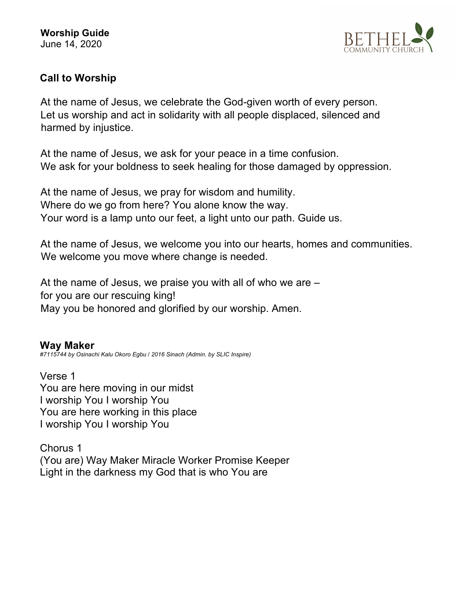

### **Call to Worship**

At the name of Jesus, we celebrate the God-given worth of every person. Let us worship and act in solidarity with all people displaced, silenced and harmed by injustice.

At the name of Jesus, we ask for your peace in a time confusion. We ask for your boldness to seek healing for those damaged by oppression.

At the name of Jesus, we pray for wisdom and humility. Where do we go from here? You alone know the way. Your word is a lamp unto our feet, a light unto our path. Guide us.

At the name of Jesus, we welcome you into our hearts, homes and communities. We welcome you move where change is needed.

At the name of Jesus, we praise you with all of who we are – for you are our rescuing king! May you be honored and glorified by our worship. Amen.

#### **Way Maker**

*#7115744 by Osinachi Kalu Okoro Egbu* / *2016 Sinach (Admin. by SLIC Inspire)*

Verse 1 You are here moving in our midst I worship You I worship You You are here working in this place I worship You I worship You

Chorus 1 (You are) Way Maker Miracle Worker Promise Keeper Light in the darkness my God that is who You are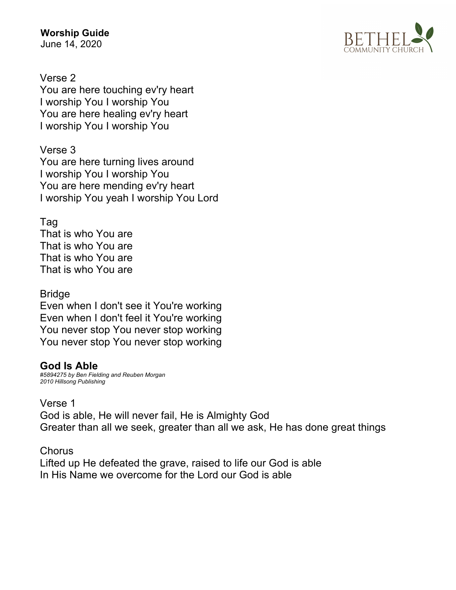# **Worship Guide**

June 14, 2020



Verse 2

You are here touching ev'ry heart I worship You I worship You You are here healing ev'ry heart I worship You I worship You

Verse 3 You are here turning lives around I worship You I worship You You are here mending ev'ry heart I worship You yeah I worship You Lord

Tag That is who You are That is who You are That is who You are That is who You are

## **Bridge**

Even when I don't see it You're working Even when I don't feel it You're working You never stop You never stop working You never stop You never stop working

## **God Is Able**

*#5894275 by Ben Fielding and Reuben Morgan 2010 Hillsong Publishing*

#### Verse 1

God is able, He will never fail, He is Almighty God Greater than all we seek, greater than all we ask, He has done great things

### **Chorus**

Lifted up He defeated the grave, raised to life our God is able In His Name we overcome for the Lord our God is able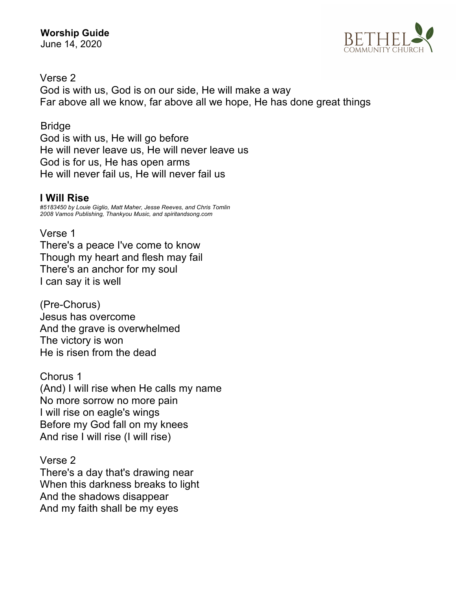#### **Worship Guide** June 14, 2020



#### Verse 2

God is with us, God is on our side, He will make a way Far above all we know, far above all we hope, He has done great things

#### Bridge

God is with us, He will go before He will never leave us, He will never leave us God is for us, He has open arms He will never fail us, He will never fail us

#### **I Will Rise**

*#5183450 by Louie Giglio, Matt Maher, Jesse Reeves, and Chris Tomlin 2008 Vamos Publishing, Thankyou Music, and spiritandsong.com*

#### Verse 1

There's a peace I've come to know Though my heart and flesh may fail There's an anchor for my soul I can say it is well

(Pre-Chorus) Jesus has overcome And the grave is overwhelmed The victory is won He is risen from the dead

Chorus 1 (And) I will rise when He calls my name No more sorrow no more pain I will rise on eagle's wings Before my God fall on my knees And rise I will rise (I will rise)

Verse 2 There's a day that's drawing near When this darkness breaks to light And the shadows disappear And my faith shall be my eyes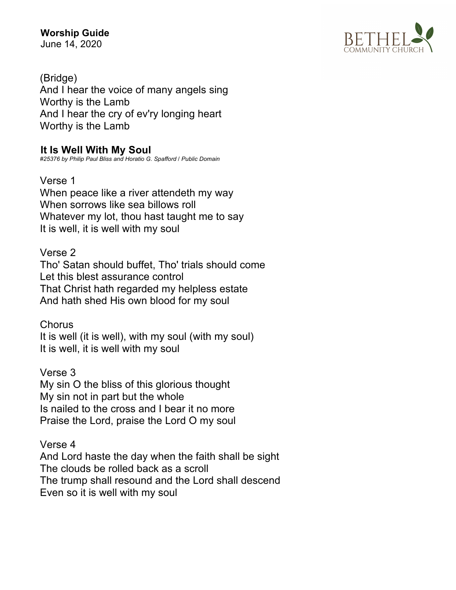# **Worship Guide**

June 14, 2020



(Bridge) And I hear the voice of many angels sing Worthy is the Lamb And I hear the cry of ev'ry longing heart Worthy is the Lamb

## **It Is Well With My Soul**

*#25376 by Philip Paul Bliss and Horatio G. Spafford* / *Public Domain*

Verse 1 When peace like a river attendeth my way When sorrows like sea billows roll Whatever my lot, thou hast taught me to say It is well, it is well with my soul

## Verse 2

Tho' Satan should buffet, Tho' trials should come Let this blest assurance control That Christ hath regarded my helpless estate And hath shed His own blood for my soul

**Chorus** It is well (it is well), with my soul (with my soul) It is well, it is well with my soul

Verse 3 My sin O the bliss of this glorious thought My sin not in part but the whole Is nailed to the cross and I bear it no more Praise the Lord, praise the Lord O my soul

### Verse 4

And Lord haste the day when the faith shall be sight The clouds be rolled back as a scroll The trump shall resound and the Lord shall descend Even so it is well with my soul